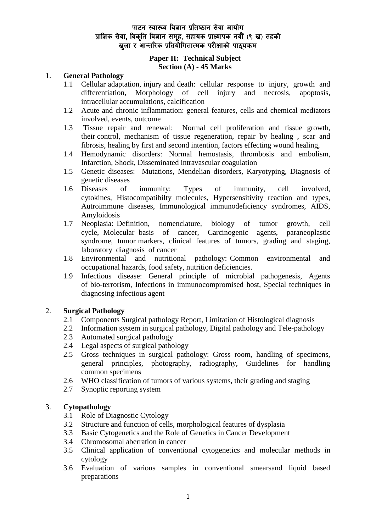### **Paper II: Technical Subject Section (A) - 45 Marks**

#### 1. **General Pathology**

- 1.1 Cellular adaptation, injury and death: cellular response to injury, growth and differentiation, Morphology of cell injury and necrosis, apoptosis, intracellular accumulations, calcification
- 1.2 Acute and chronic inflammation: general features, cells and chemical mediators involved, events, outcome
- 1.3 Tissue repair and renewal: Normal cell proliferation and tissue growth, their control, mechanism of tissue regeneration, repair by healing , scar and fibrosis, healing by first and second intention, factors effecting wound healing,
- 1.4 Hemodynamic disorders: Normal hemostasis, thrombosis and embolism, Infarction, Shock, Disseminated intravascular coagulation
- 1.5 Genetic diseases: Mutations, Mendelian disorders, Karyotyping, Diagnosis of genetic diseases
- 1.6 Diseases of immunity: Types of immunity, cell involved, cytokines, Histocompatibilty molecules, Hypersensitivity reaction and types, Autroimmune diseases, Immunological immunodeficiency syndromes, AIDS, Amyloidosis
- 1.7 Neoplasia: Definition, nomenclature, biology of tumor growth, cell cycle, Molecular basis of cancer, Carcinogenic agents, paraneoplastic syndrome, tumor markers, clinical features of tumors, grading and staging, laboratory diagnosis of cancer
- 1.8 Environmental and nutritional pathology: Common environmental and occupational hazards, food safety, nutrition deficiencies.
- 1.9 Infectious disease: General principle of microbial pathogenesis, Agents of bio-terrorism, Infections in immunocompromised host, Special techniques in diagnosing infectious agent

## 2. **Surgical Pathology**

- 2.1 Components Surgical pathology Report, Limitation of Histological diagnosis
- 2.2 Information system in surgical pathology, Digital pathology and Tele-pathology
- 2.3 Automated surgical pathology
- 2.4 Legal aspects of surgical pathology
- 2.5 Gross techniques in surgical pathology: Gross room, handling of specimens, general principles, photography, radiography, Guidelines for handling common specimens
- 2.6 WHO classification of tumors of various systems, their grading and staging
- 2.7 Synoptic reporting system

## 3. **Cytopathology**

- 3.1 Role of Diagnostic Cytology
- 3.2 Structure and function of cells, morphological features of dysplasia
- 3.3 Basic Cytogenetics and the Role of Genetics in Cancer Development
- 3.4 Chromosomal aberration in cancer
- 3.5 Clinical application of conventional cytogenetics and molecular methods in cytology
- 3.6 Evaluation of various samples in conventional smearsand liquid based preparations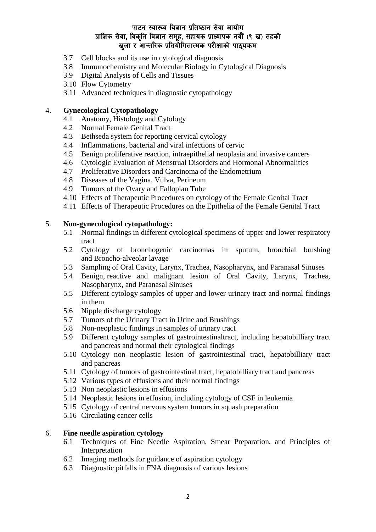- 3.7 Cell blocks and its use in cytological diagnosis
- 3.8 Immunochemistry and Molecular Biology in Cytological Diagnosis
- 3.9 Digital Analysis of Cells and Tissues
- 3.10 Flow Cytometry
- 3.11 Advanced techniques in diagnostic cytopathology

### 4. **Gynecological Cytopathology**

- 4.1 Anatomy, Histology and Cytology
- 4.2 Normal Female Genital Tract
- 4.3 Bethseda system for reporting cervical cytology
- 4.4 Inflammations, bacterial and viral infections of cervic
- 4.5 Benign proliferative reaction, intraepithelial neoplasia and invasive cancers
- 4.6 Cytologic Evaluation of Menstrual Disorders and Hormonal Abnormalities
- 4.7 Proliferative Disorders and Carcinoma of the Endometrium
- 4.8 Diseases of the Vagina, Vulva, Perineum
- 4.9 Tumors of the Ovary and Fallopian Tube
- 4.10 Effects of Therapeutic Procedures on cytology of the Female Genital Tract
- 4.11 Effects of Therapeutic Procedures on the Epithelia of the Female Genital Tract

### 5. **Non-gynecological cytopathology:**

- 5.1 Normal findings in different cytological specimens of upper and lower respiratory tract
- 5.2 Cytology of bronchogenic carcinomas in sputum, bronchial brushing and Broncho-alveolar lavage
- 5.3 Sampling of Oral Cavity, Larynx, Trachea, Nasopharynx, and Paranasal Sinuses
- 5.4 Benign, reactive and malignant lesion of Oral Cavity, Larynx, Trachea, Nasopharynx, and Paranasal Sinuses
- 5.5 Different cytology samples of upper and lower urinary tract and normal findings in them
- 5.6 Nipple discharge cytology
- 5.7 Tumors of the Urinary Tract in Urine and Brushings
- 5.8 Non-neoplastic findings in samples of urinary tract
- 5.9 Different cytology samples of gastrointestinaltract, including hepatobilliary tract and pancreas and normal their cytological findings
- 5.10 Cytology non neoplastic lesion of gastrointestinal tract, hepatobilliary tract and pancreas
- 5.11 Cytology of tumors of gastrointestinal tract, hepatobilliary tract and pancreas
- 5.12 Various types of effusions and their normal findings
- 5.13 Non neoplastic lesions in effusions
- 5.14 Neoplastic lesions in effusion, including cytology of CSF in leukemia
- 5.15 Cytology of central nervous system tumors in squash preparation
- 5.16 Circulating cancer cells

### 6. **Fine needle aspiration cytology**

- 6.1 Techniques of Fine Needle Aspiration, Smear Preparation, and Principles of Interpretation
- 6.2 Imaging methods for guidance of aspiration cytology
- 6.3 Diagnostic pitfalls in FNA diagnosis of various lesions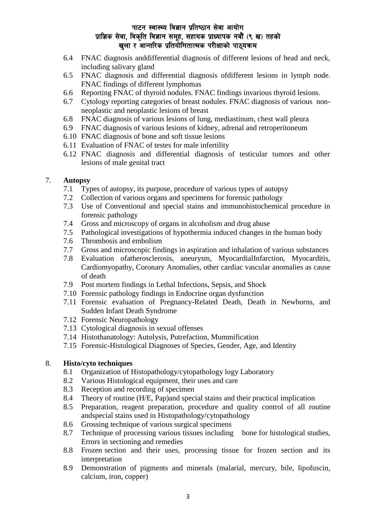- 6.4 FNAC diagnosis anddifferential diagnosis of different lesions of head and neck, including salivary gland
- 6.5 FNAC diagnosis and differential diagnosis ofdifferent lesions in lymph node. FNAC findings of different lymphomas
- 6.6 Reporting FNAC of thyroid nodules. FNAC findings invarious thyroid lesions.
- 6.7 Cytology reporting categories of breast nodules. FNAC diagnosis of various nonneoplastic and neoplastic lesions of breast
- 6.8 FNAC diagnosis of various lesions of lung, mediastinum, chest wall pleura
- 6.9 FNAC diagnosis of various lesions of kidney, adrenal and retroperitoneum
- 6.10 FNAC diagnosis of bone and soft tissue lesions
- 6.11 Evaluation of FNAC of testes for male infertility
- 6.12 FNAC diagnosis and differential diagnosis of testicular tumors and other lesions of male genital tract

### 7. **Autopsy**

- 7.1 Types of autopsy, its purpose, procedure of various types of autopsy
- 7.2 Collection of various organs and specimens for forensic pathology
- 7.3 Use of Conventional and special stains and immunohistochemical procedure in forensic pathology
- 7.4 Gross and microscopy of organs in alcoholism and drug abuse
- 7.5 Pathological investigations of hypothermia induced changes in the human body
- 7.6 Thrombosis and embolism
- 7.7 Gross and microscopic findings in aspiration and inhalation of various substances
- 7.8 Evaluation ofatherosclerosis, aneurysm, MyocardialInfarction, Myocarditis, Cardiomyopathy, Coronary Anomalies, other cardiac vascular anomalies as cause of death
- 7.9 Post mortem findings in Lethal Infections, Sepsis, and Shock
- 7.10 Forensic pathology findings in Endocrine organ dysfunction
- 7.11 Forensic evaluation of Pregnancy-Related Death, Death in Newborns, and Sudden Infant Death Syndrome
- 7.12 Forensic Neuropathology
- 7.13 Cytological diagnosis in sexual offenses
- 7.14 Histothanatology: Autolysis, Putrefaction, Mummification
- 7.15 Forensic-Histological Diagnoses of Species, Gender, Age, and Identity

### 8. **Histo/cyto techniques**

- 8.1 Organization of Histopathology/cytopathology logy Laboratory
- 8.2 Various Histological equipment, their uses and care
- 8.3 Reception and recording of specimen
- 8.4 Theory of routine (H/E, Pap)and special stains and their practical implication
- 8.5 Preparation, reagent preparation, procedure and quality control of all routine andspecial stains used in Histopathology/cytopathology
- 8.6 Grossing technique of various surgical specimens
- 8.7 Technique of processing various tissues including bone for histological studies, Errors in sectioning and remedies
- 8.8 Frozen section and their uses, processing tissue for frozen section and its interpretation
- 8.9 Demonstration of pigments and minerals (malarial, mercury, bile, lipofuscin, calcium, iron, copper)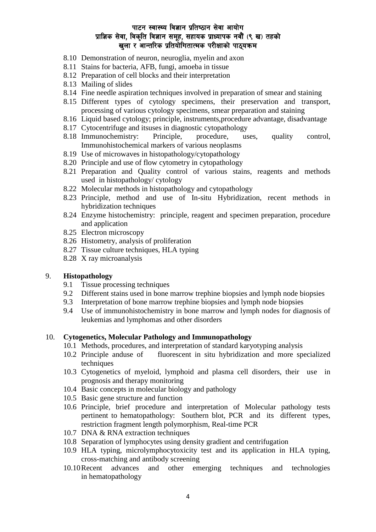- 8.10 Demonstration of neuron, neuroglia, myelin and axon
- 8.11 Stains for bacteria, AFB, fungi, amoeba in tissue
- 8.12 Preparation of cell blocks and their interpretation
- 8.13 Mailing of slides
- 8.14 Fine needle aspiration techniques involved in preparation of smear and staining
- 8.15 Different types of cytology specimens, their preservation and transport, processing of various cytology specimens, smear preparation and staining
- 8.16 Liquid based cytology; principle, instruments,procedure advantage, disadvantage
- 8.17 Cytocentrifuge and itsuses in diagnostic cytopathology
- 8.18 Immunochemistry: Principle, procedure, uses, quality control, Immunohistochemical markers of various neoplasms
- 8.19 Use of microwaves in histopathology/cytopathology
- 8.20 Principle and use of flow cytometry in cytopathology
- 8.21 Preparation and Quality control of various stains, reagents and methods used in histopathology/ cytology
- 8.22 Molecular methods in histopathology and cytopathology
- 8.23 Principle, method and use of In-situ Hybridization, recent methods in hybridization techniques
- 8.24 Enzyme histochemistry: principle, reagent and specimen preparation, procedure and application
- 8.25 Electron microscopy
- 8.26 Histometry, analysis of proliferation
- 8.27 Tissue culture techniques, HLA typing
- 8.28 X ray microanalysis

#### 9. **Histopathology**

- 9.1 Tissue processing techniques
- 9.2 Different stains used in bone marrow trephine biopsies and lymph node biopsies
- 9.3 Interpretation of bone marrow trephine biopsies and lymph node biopsies
- 9.4 Use of immunohistochemistry in bone marrow and lymph nodes for diagnosis of leukemias and lymphomas and other disorders

#### 10. **Cytogenetics, Molecular Pathology and Immunopathology**

- 10.1 Methods, procedures, and interpretation of standard karyotyping analysis
- 10.2 Principle anduse of fluorescent in situ hybridization and more specialized techniques
- 10.3 Cytogenetics of myeloid, lymphoid and plasma cell disorders, their use in prognosis and therapy monitoring
- 10.4 Basic concepts in molecular biology and pathology
- 10.5 Basic gene structure and function
- 10.6 Principle, brief procedure and interpretation of Molecular pathology tests pertinent to hematopathology: Southern blot, PCR and its different types, restriction fragment length polymorphism, Real-time PCR
- 10.7 DNA & RNA extraction techniques
- 10.8 Separation of lymphocytes using density gradient and centrifugation
- 10.9 HLA typing, microlymphocytoxicity test and its application in HLA typing, cross-matching and antibody screening
- 10.10Recent advances and other emerging techniques and technologies in hematopathology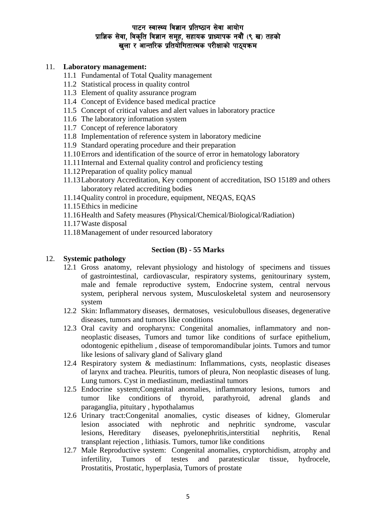### 11. **Laboratory management:**

- 11.1 Fundamental of Total Quality management
- 11.2 Statistical process in quality control
- 11.3 Element of quality assurance program
- 11.4 Concept of Evidence based medical practice
- 11.5 Concept of critical values and alert values in laboratory practice
- 11.6 The laboratory information system
- 11.7 Concept of reference laboratory
- 11.8 Implementation of reference system in laboratory medicine
- 11.9 Standard operating procedure and their preparation
- 11.10Errors and identification of the source of error in hematology laboratory
- 11.11Internal and External quality control and proficiency testing
- 11.12Preparation of quality policy manual
- 11.13Laboratory Accreditation, Key component of accreditation, ISO 15189 and others laboratory related accrediting bodies
- 11.14Quality control in procedure, equipment, NEQAS, EQAS
- 11.15Ethics in medicine
- 11.16Health and Safety measures (Physical/Chemical/Biological/Radiation)
- 11.17Waste disposal
- 11.18Management of under resourced laboratory

### **Section (B) - 55 Marks**

### 12. **Systemic pathology**

- 12.1 Gross anatomy, relevant physiology and histology of specimens and tissues of gastrointestinal, cardiovascular, respiratory systems, genitourinary system, male and female reproductive system, Endocrine system, central nervous system, peripheral nervous system, Musculoskeletal system and neurosensory system
- 12.2 Skin: Inflammatory diseases, dermatoses, vesiculobullous diseases, degenerative diseases, tumors and tumors like conditions
- 12.3 Oral cavity and oropharynx: Congenital anomalies, inflammatory and nonneoplastic diseases, Tumors and tumor like conditions of surface epithelium, odontogenic epithelium , disease of temporomandibular joints. Tumors and tumor like lesions of salivary gland of Salivary gland
- 12.4 Respiratory system & mediastinum: Inflammations, cysts, neoplastic diseases of larynx and trachea. Pleuritis, tumors of pleura, Non neoplastic diseases of lung. Lung tumors. Cyst in mediastinum, mediastinal tumors
- 12.5 Endocrine system;Congenital anomalies, inflammatory lesions, tumors and tumor like conditions of thyroid, parathyroid, adrenal glands and paraganglia, pituitary , hypothalamus
- 12.6 Urinary tract:Congenital anomalies, cystic diseases of kidney, Glomerular lesion associated with nephrotic and nephritic syndrome, vascular lesions, Hereditary diseases, pyelonephritis,interstitial nephritis, Renal transplant rejection , lithiasis. Tumors, tumor like conditions
- 12.7 Male Reproductive system: Congenital anomalies, cryptorchidism, atrophy and infertility, Tumors of testes and paratesticular tissue, hydrocele, Prostatitis, Prostatic, hyperplasia, Tumors of prostate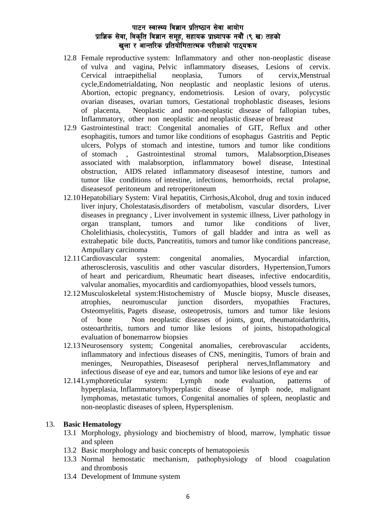- 12.8 Female reproductive system: Inflammatory and other non-neoplastic disease of vulva and vagina, Pelvic inflammatory diseases, Lesions of cervix. Cervical intraepithelial neoplasia, Tumors of cervix,Menstrual cycle,Endometrialdating, Non neoplastic and neoplastic lesions of uterus. Abortion, ectopic pregnancy, endometriosis. Lesion of ovary, polycystic ovarian diseases, ovarian tumors, Gestational trophoblastic diseases, lesions of placenta, Neoplastic and non-neoplastic disease of fallopian tubes, Inflammatory, other non neoplastic and neoplastic disease of breast
- 12.9 Gastrointestinal tract: Congenital anomalies of GIT, Reflux and other esophagitis, tumors and tumor like conditions of esophagus Gastritis and Peptic ulcers, Polyps of stomach and intestine, tumors and tumor like conditions of stomach , Gastrointestinal stromal tumors, Malabsorption,Diseases associated with malabsorption, inflammatory bowel disease, Intestinal obstruction, AIDS related inflammatory diseasesof intestine, tumors and tumor like conditions of intestine, infections, hemorrhoids, rectal prolapse, diseasesof peritoneum and retroperitoneum
- 12.10Hepatobiliary System: Viral hepatitis, Cirrhosis,Alcohol, drug and toxin induced liver injury, Cholestatasis,disorders of metabolism, vascular disorders, Liver diseases in pregnancy , Liver involvement in systemic illness, Liver pathology in organ transplant, tumors and tumor like conditions of liver, Cholelithiasis, cholecystitis, Tumors of gall bladder and intra as well as extrahepatic bile ducts, Pancreatitis, tumors and tumor like conditions pancrease, Ampullary carcinoma
- 12.11Cardiovascular system: congenital anomalies, Myocardial infarction, atherosclerosis, vasculitis and other vascular disorders, Hypertension,Tumors of heart and pericardium, Rheumatic heart diseases, infective endocarditis, valvular anomalies, myocarditis and cardiomyopathies, blood vessels tumors,
- 12.12Musculoskeletal system:Histochemistry of Muscle biopsy, Muscle diseases, atrophies, neuromuscular junction disorders, myopathies Fractures, Osteomyelitis, Pagets disease, osteopetrosis, tumors and tumor like lesions of bone Non neoplastic diseases of joints, gout, rheumatoidarthritis, osteoarthritis, tumors and tumor like lesions of joints, histopathological evaluation of bonemarrow biopsies
- 12.13Neurosensory system; Congenital anomalies, cerebrovascular accidents, inflammatory and infectious diseases of CNS, meningitis, Tumors of brain and meninges, Neuropathies, Diseasesof peripheral nerves,Inflammatory and infectious disease of eye and ear, tumors and tumor like lesions of eye and ear
- 12.14Lymphoreticular system: Lymph node evaluation, patterns of hyperplasia, Inflammatory/hyperplastic disease of lymph node, malignant lymphomas, metastatic tumors, Congenital anomalies of spleen, neoplastic and non-neoplastic diseases of spleen, Hypersplenism.

#### 13. **Basic Hematology**

- 13.1 Morphology, physiology and biochemistry of blood, marrow, lymphatic tissue and spleen
- 13.2 Basic morphology and basic concepts of hematopoiesis
- 13.3 Normal hemostatic mechanism, pathophysiology of blood coagulation and thrombosis
- 13.4 Development of Immune system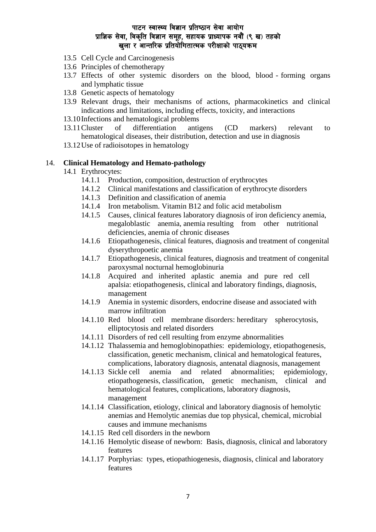- 13.5 Cell Cycle and Carcinogenesis
- 13.6 Principles of chemotherapy
- 13.7 Effects of other systemic disorders on the blood, blood forming organs and lymphatic tissue
- 13.8 Genetic aspects of hematology
- 13.9 Relevant drugs, their mechanisms of actions, pharmacokinetics and clinical indications and limitations, including effects, toxicity, and interactions
- 13.10Infections and hematological problems
- 13.11Cluster of differentiation antigens (CD markers) relevant to hematological diseases, their distribution, detection and use in diagnosis
- 13.12Use of radioisotopes in hematology

### 14. **Clinical Hematology and Hemato-pathology**

- 14.1 Erythrocytes:
	- 14.1.1 Production, composition, destruction of erythrocytes
	- 14.1.2 Clinical manifestations and classification of erythrocyte disorders
	- 14.1.3 Definition and classification of anemia
	- 14.1.4 Iron metabolism. Vitamin B12 and folic acid metabolism
	- 14.1.5 Causes, clinical features laboratory diagnosis of iron deficiency anemia, megaloblastic anemia, anemia resulting from other nutritional deficiencies, anemia of chronic diseases
	- 14.1.6 Etiopathogenesis, clinical features, diagnosis and treatment of congenital dyserythropoetic anemia
	- 14.1.7 Etiopathogenesis, clinical features, diagnosis and treatment of congenital paroxysmal nocturnal hemoglobinuria
	- 14.1.8 Acquired and inherited aplastic anemia and pure red cell apalsia: etiopathogenesis, clinical and laboratory findings, diagnosis, management
	- 14.1.9 Anemia in systemic disorders, endocrine disease and associated with marrow infiltration
	- 14.1.10 Red blood cell membrane disorders: hereditary spherocytosis, elliptocytosis and related disorders
	- 14.1.11 Disorders of red cell resulting from enzyme abnormalities
	- 14.1.12 Thalassemia and hemoglobinopathies: epidemiology, etiopathogenesis, classification, genetic mechanism, clinical and hematological features, complications, laboratory diagnosis, antenatal diagnosis, management
	- 14.1.13 Sickle cell anemia and related abnormalities; epidemiology, etiopathogenesis, classification, genetic mechanism, clinical and hematological features, complications, laboratory diagnosis, management
	- 14.1.14 Classification, etiology, clinical and laboratory diagnosis of hemolytic anemias and Hemolytic anemias due top physical, chemical, microbial causes and immune mechanisms
	- 14.1.15 Red cell disorders in the newborn
	- 14.1.16 Hemolytic disease of newborn: Basis, diagnosis, clinical and laboratory features
	- 14.1.17 Porphyrias: types, etiopathiogenesis, diagnosis, clinical and laboratory features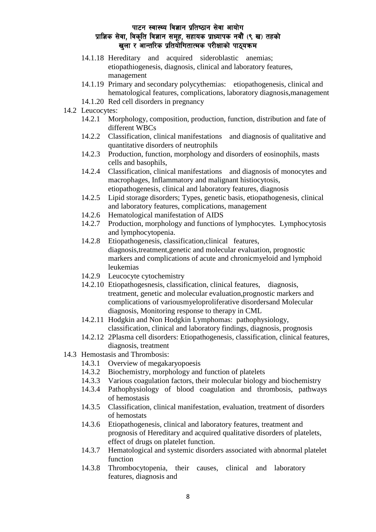- 14.1.18 Hereditary and acquired sideroblastic anemias; etiopathiogenesis, diagnosis, clinical and laboratory features, management
- 14.1.19 Primary and secondary polycythemias: etiopathogenesis, clinical and hematological features, complications, laboratory diagnosis,management
- 14.1.20 Red cell disorders in pregnancy
- 14.2 Leucocytes:
	- 14.2.1 Morphology, composition, production, function, distribution and fate of different WBCs
	- 14.2.2 Classification, clinical manifestations and diagnosis of qualitative and quantitative disorders of neutrophils
	- 14.2.3 Production, function, morphology and disorders of eosinophils, masts cells and basophils,
	- 14.2.4 Classification, clinical manifestations and diagnosis of monocytes and macrophages, Inflammatory and malignant histiocytosis, etiopathogenesis, clinical and laboratory features, diagnosis
	- 14.2.5 Lipid storage disorders; Types, genetic basis, etiopathogenesis, clinical and laboratory features, complications, management
	- 14.2.6 Hematological manifestation of AIDS
	- 14.2.7 Production, morphology and functions of lymphocytes. Lymphocytosis and lymphocytopenia.
	- 14.2.8 Etiopathogenesis, classification,clinical features, diagnosis,treatment,genetic and molecular evaluation, prognostic markers and complications of acute and chronicmyeloid and lymphoid leukemias
	- 14.2.9 Leucocyte cytochemistry
	- 14.2.10 Etiopathogesnesis, classification, clinical features, diagnosis, treatment, genetic and molecular evaluation,prognostic markers and complications of variousmyeloproliferative disordersand Molecular diagnosis, Monitoring response to therapy in CML
	- 14.2.11 Hodgkin and Non Hodgkin Lymphomas: pathophysiology, classification, clinical and laboratory findings, diagnosis, prognosis
	- 14.2.12 2Plasma cell disorders: Etiopathogenesis, classification, clinical features, diagnosis, treatment
- 14.3 Hemostasis and Thrombosis:
	- 14.3.1 Overview of megakaryopoesis
	- 14.3.2 Biochemistry, morphology and function of platelets
	- 14.3.3 Various coagulation factors, their molecular biology and biochemistry
	- 14.3.4 Pathophysiology of blood coagulation and thrombosis, pathways of hemostasis
	- 14.3.5 Classification, clinical manifestation, evaluation, treatment of disorders of hemostats
	- 14.3.6 Etiopathogenesis, clinical and laboratory features, treatment and prognosis of Hereditary and acquired qualitative disorders of platelets, effect of drugs on platelet function.
	- 14.3.7 Hematological and systemic disorders associated with abnormal platelet function
	- 14.3.8 Thrombocytopenia, their causes, clinical and laboratory features, diagnosis and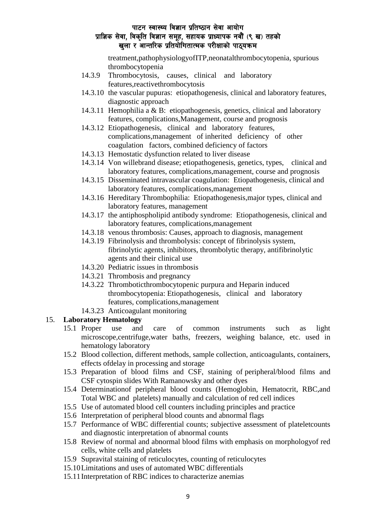treatment,pathophysiologyofITP,neonatalthrombocytopenia, spurious thrombocytopenia

- 14.3.9 Thrombocytosis, causes, clinical and laboratory features,reactivethrombocytosis
- 14.3.10 the vascular pupuras: etiopathogenesis, clinical and laboratory features, diagnostic approach
- 14.3.11 Hemophilia a & B: etiopathogenesis, genetics, clinical and laboratory features, complications,Management, course and prognosis
- 14.3.12 Etiopathogenesis, clinical and laboratory features, complications,management of inherited deficiency of other coagulation factors, combined deficiency of factors
- 14.3.13 Hemostatic dysfunction related to liver disease
- 14.3.14 Von willebrand disease; etiopathogenesis, genetics, types, clinical and laboratory features, complications,management, course and prognosis
- 14.3.15 Disseminated intravascular coagulation: Etiopathogenesis, clinical and laboratory features, complications,management
- 14.3.16 Hereditary Thrombophilia: Etiopathogenesis,major types, clinical and laboratory features, management
- 14.3.17 the antiphospholipid antibody syndrome: Etiopathogenesis, clinical and laboratory features, complications,management
- 14.3.18 venous thrombosis: Causes, approach to diagnosis, management
- 14.3.19 Fibrinolysis and thrombolysis: concept of fibrinolysis system, fibrinolytic agents, inhibitors, thrombolytic therapy, antifibrinolytic agents and their clinical use
- 14.3.20 Pediatric issues in thrombosis
- 14.3.21 Thrombosis and pregnancy
- 14.3.22 Thromboticthrombocytopenic purpura and Heparin induced thrombocytopenia: Etiopathogenesis, clinical and laboratory features, complications,management
- 14.3.23 Anticoagulant monitoring

#### 15. **Laboratory Hematology**

- 15.1 Proper use and care of common instruments such as light microscope,centrifuge,water baths, freezers, weighing balance, etc. used in hematology laboratory
- 15.2 Blood collection, different methods, sample collection, anticoagulants, containers, effects ofdelay in processing and storage
- 15.3 Preparation of blood films and CSF, staining of peripheral/blood films and CSF cytospin slides With Ramanowsky and other dyes
- 15.4 Determinationof peripheral blood counts (Hemoglobin, Hematocrit, RBC,and Total WBC and platelets) manually and calculation of red cell indices
- 15.5 Use of automated blood cell counters including principles and practice
- 15.6 Interpretation of peripheral blood counts and abnormal flags
- 15.7 Performance of WBC differential counts; subjective assessment of plateletcounts and diagnostic interpretation of abnormal counts
- 15.8 Review of normal and abnormal blood films with emphasis on morphologyof red cells, white cells and platelets
- 15.9 Supravital staining of reticulocytes, counting of reticulocytes
- 15.10Limitations and uses of automated WBC differentials
- 15.11Interpretation of RBC indices to characterize anemias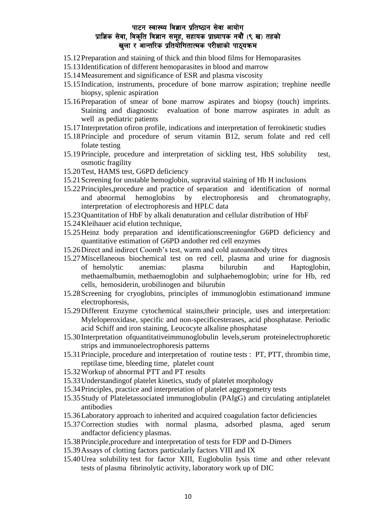- 15.12Preparation and staining of thick and thin blood films for Hemoparasites
- 15.13Identification of different hemoparasites in blood and marrow
- 15.14Measurement and significance of ESR and plasma viscosity
- 15.15Indication, instruments, procedure of bone marrow aspiration; trephine needle biopsy, splenic aspiration
- 15.16Preparation of smear of bone marrow aspirates and biopsy (touch) imprints. Staining and diagnostic evaluation of bone marrow aspirates in adult as well as pediatric patients
- 15.17Interpretation ofiron profile, indications and interpretation of ferrokinetic studies
- 15.18Principle and procedure of serum vitamin B12, serum folate and red cell folate testing
- 15.19Principle, procedure and interpretation of sickling test, HbS solubility test, osmotic fragility
- 15.20Test, HAMS test, G6PD deficiency
- 15.21Screening for unstable hemoglobin, supravital staining of Hb H inclusions
- 15.22Principles,procedure and practice of separation and identification of normal and abnormal hemoglobins by electrophoresis and chromatography, interpretation of electrophoresis and HPLC data
- 15.23Quantitation of HbF by alkali denaturation and cellular distribution of HbF
- 15.24Kleihauer acid elution technique,
- 15.25Heinz body preparation and identificationscreeningfor G6PD deficiency and quantitative estimation of G6PD andother red cell enzymes
- 15.26Direct and indirect Coomb's test, warm and cold autoantibody titres
- 15.27Miscellaneous biochemical test on red cell, plasma and urine for diagnosis of hemolytic anemias: plasma bilurubin and Haptoglobin, methaemalbumin, methaemoglobin and sulphaehemoglobin; urine for Hb, red cells, hemosiderin, urobilinogen and bilurubin
- 15.28Screening for cryoglobins, principles of immunoglobin estimationand immune electrophoresis,
- 15.29Different Enzyme cytochemical stains,their principle, uses and interpretation: Myleloperoxidase, specific and non-specificesterases, acid phosphatase. Periodic acid Schiff and iron staining, Leucocyte alkaline phosphatase
- 15.30Interpretation ofquantitativeimmunoglobulin levels,serum proteinelectrophoretic strips and immunoelectrophoresis patterns
- 15.31Principle, procedure and interpretation of routine tests : PT, PTT, thrombin time, reptilase time, bleeding time, platelet count
- 15.32Workup of abnormal PTT and PT results
- 15.33Understandingof platelet kinetics, study of platelet morphology
- 15.34Principles, practice and interpretation of platelet aggregometry tests
- 15.35Study of Plateletassociated immunoglobulin (PAIgG) and circulating antiplatelet antibodies
- 15.36Laboratory approach to inherited and acquired coagulation factor deficiencies
- 15.37Correction studies with normal plasma, adsorbed plasma, aged serum andfactor deficiency plasmas.
- 15.38Principle,procedure and interpretation of tests for FDP and D-Dimers
- 15.39Assays of clotting factors particularly factors VIII and IX
- 15.40Urea solubility test for factor XIII, Euglobulin Iysis time and other relevant tests of plasma fibrinolytic activity, laboratory work up of DIC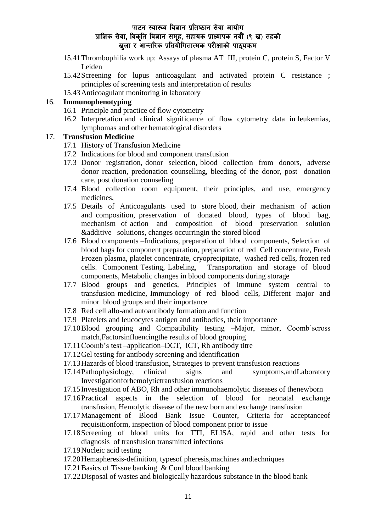- 15.41Thrombophilia work up: Assays of plasma AT III, protein C, protein S, Factor V Leiden
- 15.42Screening for lupus anticoagulant and activated protein C resistance ; principles of screening tests and interpretation of results
- 15.43Anticoagulant monitoring in laboratory

### 16. **Immunophenotyping**

- 16.1 Principle and practice of flow cytometry
- 16.2 Interpretation and clinical significance of flow cytometry data in leukemias, lymphomas and other hematological disorders

# 17. **Transfusion Medicine**

- 17.1 History of Transfusion Medicine
- 17.2 Indications for blood and component transfusion
- 17.3 Donor registration, donor selection, blood collection from donors, adverse donor reaction, predonation counselling, bleeding of the donor, post donation care, post donation counseling
- 17.4 Blood collection room equipment, their principles, and use, emergency medicines,
- 17.5 Details of Anticoagulants used to store blood, their mechanism of action and composition, preservation of donated blood, types of blood bag, mechanism of action and composition of blood preservation solution &additive solutions, changes occurringin the stored blood
- 17.6 Blood components –Indications, preparation of blood components, Selection of blood bags for component preparation, preparation of red Cell concentrate, Fresh Frozen plasma, platelet concentrate, cryoprecipitate, washed red cells, frozen red cells. Component Testing, Labeling, Transportation and storage of blood components, Metabolic changes in blood components during storage
- 17.7 Blood groups and genetics, Principles of immune system central to transfusion medicine, Immunology of red blood cells, Different major and minor blood groups and their importance
- 17.8 Red cell allo-and autoantibody formation and function
- 17.9 Platelets and leucocytes antigen and antibodies, their importance
- 17.10Blood grouping and Compatibility testing –Major, minor, Coomb'scross match,Factorsinfluencingthe results of blood grouping
- 17.11Coomb's test –application–DCT, ICT, Rh antibody titre
- 17.12Gel testing for antibody screening and identification
- 17.13Hazards of blood transfusion, Strategies to prevent transfusion reactions
- 17.14Pathophysiology, clinical signs and symptoms,andLaboratory Investigationforhemolytictransfusion reactions
- 17.15Investigation of ABO, Rh and other immunohaemolytic diseases of thenewborn
- 17.16Practical aspects in the selection of blood for neonatal exchange transfusion, Hemolytic disease of the new born and exchange transfusion
- 17.17Management of Blood Bank Issue Counter, Criteria for acceptanceof requisitionform, inspection of blood component prior to issue
- 17.18Screening of blood units for TTI, ELISA, rapid and other tests for diagnosis of transfusion transmitted infections
- 17.19Nucleic acid testing
- 17.20Hemapheresis-definition, typesof pheresis,machines andtechniques
- 17.21Basics of Tissue banking & Cord blood banking
- 17.22Disposal of wastes and biologically hazardous substance in the blood bank